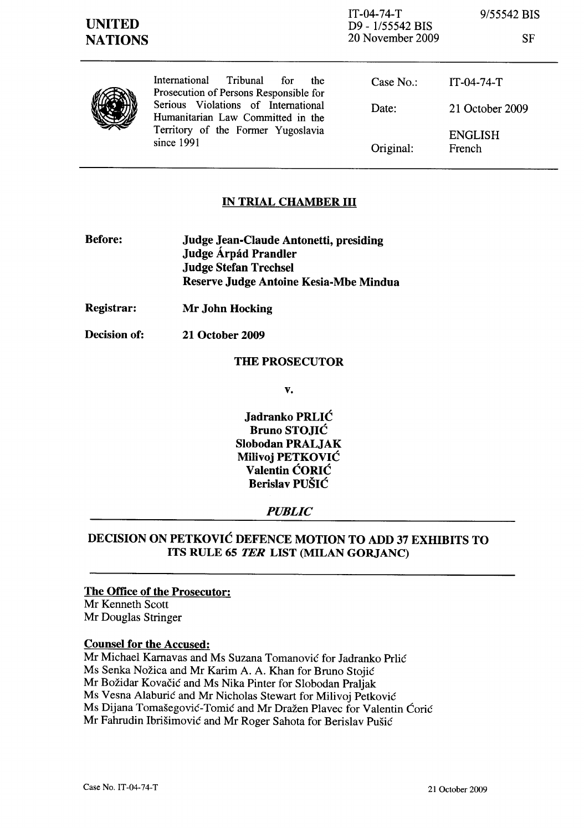SF



International Tribunal for the Prosecution of Persons Responsible for Serious Violations of International Humanitarian Law Committed in the Territory of the Former Yugoslavia since 1991

| Case No.: | $IT-04-74-T$      |
|-----------|-------------------|
| Date:     | 21 October 2009   |
| Original: | ENGLISH<br>French |

# IN TRIAL CHAMBER III

- Before: Judge Jean-Claude Antonetti, presiding Judge Árpád Prandler Judge Stefan Trechsel Reserve Judge Antoine Kesia-Mbe Mindua
- Registrar: Mr John Hocking
- Decision of: 21 October 2009

## THE PROSECUTOR

v.

Jadranko PRLIC Bruno STOJIC Slobodan PRALJAK Milivoj PETKOVIC Valentin CORIC Berislav PUSIC

## *PUBLIC*

# DECISION ON PETKOVIC DEFENCE MOTION TO ADD 37 EXHIBITS TO ITS RULE 65 *TER* LIST (MILAN GORJANC)

## The Office of the Prosecutor:

Mr Kenneth Scott Mr Douglas Stringer

## Counsel for the Accused:

Mr Michael Karnavas and Ms Suzana Tomanovic for ladranko Prlic Ms Senka Nozica and Mr Karim A. A. Khan for Bruno Stojic Mr Božidar Kovačić and Ms Nika Pinter for Slobodan Praljak Ms Vesna Alaburić and Mr Nicholas Stewart for Milivoj Petković Ms Dijana Tomašegović-Tomić and Mr Dražen Plavec for Valentin Ćorić Mr Fahrudin Ibrisimovic and Mr Roger Sahota for Berislav Pusic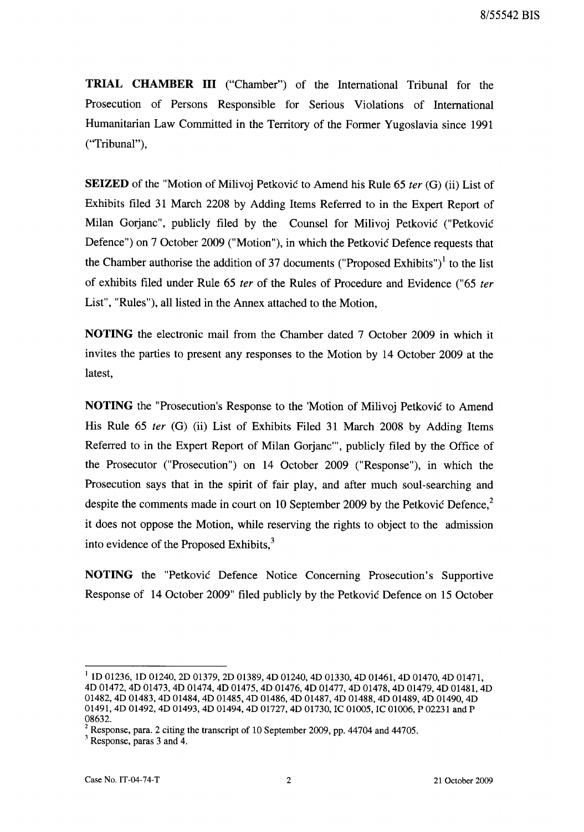**TRIAL CHAMBER III** ("Chamber") of the International Tribunal for the Prosecution of Persons Responsible for Serious Violations of International Humanitarian Law Committed in the Territory of the Former Yugoslavia since 1991 ("Tribunal"),

**SEIZED** of the "Motion of Milivoj Petkovic to Amend his Rule 65 *ter* (G) (ii) List of Exhibits filed 31 March 2208 by Adding Items Referred to in the Expert Report of Milan Oorjanc", publicly filed by the Counsel for Milivoj Petkovic ("Petkovic Defence") on 7 October 2009 ("Motion"), in which the Petkovic Defence requests that the Chamber authorise the addition of 37 documents ("Proposed Exhibits")<sup>1</sup> to the list of exhibits filed under Rule 65 *ter* of the Rules of Procedure and Evidence ("65 *ter*  List", "Rules"), all listed in the Annex attached to the Motion,

**NOTING** the electronic mail from the Chamber dated 7 October 2009 in which it invites the parties to present any responses to the Motion by 14 October 2009 at the latest,

**NOTING** the "Prosecution's Response to the 'Motion of Milivoj Petkovic to Amend His Rule 65 *ter* (G) (ii) List of Exhibits Filed 31 March 2008 by Adding Items Referred to in the Expert Report of Milan Oorjanc"', publicly filed by the Office of the Prosecutor ("Prosecution") on 14 October 2009 ("Response"), in which the Prosecution says that in the spirit of fair play, and after much soul-searching and despite the comments made in court on 10 September 2009 by the Petkovic Defence, $2$ it does not oppose the Motion, while reserving the rights to object to the admission into evidence of the Proposed Exhibits,<sup>3</sup>

**NOTING** the "Petkovic Defence Notice Concerning Prosecution's Supportive Response of 14 October 2009" filed publicly by the Petkovic Defence on 15 October

<sup>1</sup> ID 01236, ID 01240, 2D 01379, 2D 01389, 4D 01240, 4D 01330, 4D 01461, 4D 01470, 4D 01471, 4D 01472, 4D 01473, 4D 01474, 4D 01475, 4D 01476, 4D 01477, 4D 01478, 4D 01479, 4D 01481, 4D 01482, 4D 01483, 4D 01484, 4D 01485, 4D 01486, 4D 01487, 4D 01488, 4D 01489, 4D 01490, 4D 01491, 4D 01492, 4D 01493, 4D 01494, 4D 01727, 4D 01730, IC 01005, IC 01006, P 02231 and P 08632.

 $2$  Response, para. 2 citing the transcript of 10 September 2009, pp. 44704 and 44705.

<sup>3</sup> Response, paras 3 and 4.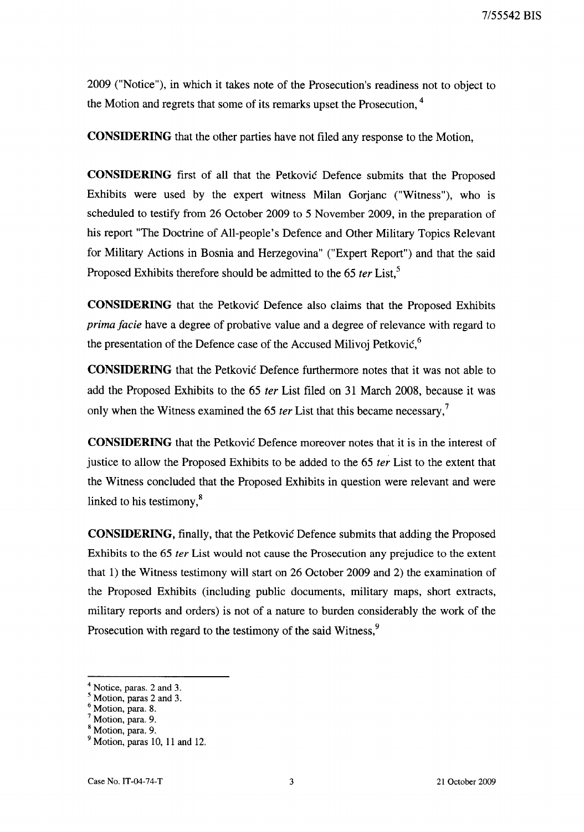2009 ("Notice"), in which it takes note of the Prosecution's readiness not to object to the Motion and regrets that some of its remarks upset the Prosecution, <sup>4</sup>

**CONSIDERING** that the other parties have not filed any response to the Motion,

**CONSIDERING** first of all that the Petkovic Defence submits that the Proposed Exhibits were used by the expert witness Milan Gorjanc ("Witness"), who is scheduled to testify from 26 October 2009 to 5 November 2009, in the preparation of his report "The Doctrine of All-people's Defence and Other Military Topics Relevant for Military Actions in Bosnia and Herzegovina" ("Expert Report") and that the said Proposed Exhibits therefore should be admitted to the 65 *ter* List,<sup>5</sup>

**CONSIDERING** that the Petkovic Defence also claims that the Proposed Exhibits *prima facie* have a degree of probative value and a degree of relevance with regard to the presentation of the Defence case of the Accused Milivoj Petković,<sup>6</sup>

**CONSIDERING** that the Petkovic Defence furthermore notes that it was not able to add the Proposed Exhibits to the 65 *ter* List filed on 31 March 2008, because it was only when the Witness examined the 65 *ter* List that this became necessary,<sup>7</sup>

**CONSIDERING** that the Petkovic Defence moreover notes that it is in the interest of justice to allow the Proposed Exhibits to be added to the 65 *ter* List to the extent that the Witness concluded that the Proposed Exhibits in question were relevant and were linked to his testimony, $\delta$ 

**CONSIDERING,** finally, that the Petkovic Defence submits that adding the Proposed Exhibits to the 65 *ter* List would not cause the Prosecution any prejudice to the extent that 1) the Witness testimony will start on 26 October 2009 and 2) the examination of the Proposed Exhibits (including public documents, military maps, short extracts, military reports and orders) is not of a nature to burden considerably the work of the Prosecution with regard to the testimony of the said Witness,<sup>9</sup>

 $<sup>4</sup>$  Notice, paras. 2 and 3.</sup>

<sup>5</sup> Motion, paras 2 and 3.

<sup>6</sup> Motion, para. 8.

<sup>7</sup> Motion, para. 9.

<sup>8</sup> Motion, para. 9.

 $<sup>9</sup>$  Motion, paras 10, 11 and 12.</sup>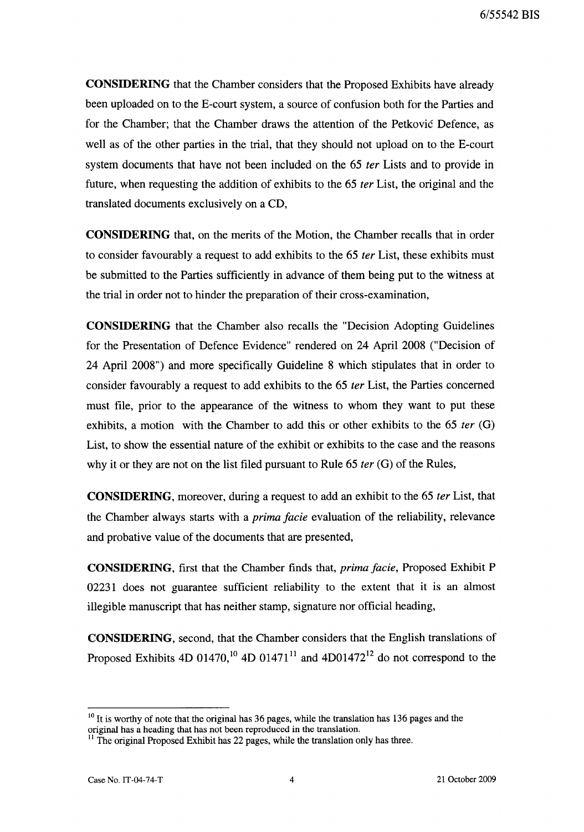CONSIDERING that the Chamber considers that the Proposed Exhibits have already been uploaded on to the E-court system, a source of confusion both for the Parties and for the Chamber; that the Chamber draws the attention of the Petkovic Defence, as well as of the other parties in the trial, that they should not upload on to the E-court system documents that have not been included on the 65 ter Lists and to provide in future, when requesting the addition of exhibits to the 65 *ter* List, the original and the translated documents exclusively on a CD,

CONSIDERING that, on the merits of the Motion, the Chamber recalls that in order to consider favourably a request to add exhibits to the 65 *ter* List, these exhibits must be submitted to the Parties sufficiently in advance of them being put to the witness at the trial in order not to hinder the preparation of their cross-examination,

CONSIDERING that the Chamber also recalls the "Decision Adopting Guidelines for the Presentation of Defence Evidence" rendered on 24 April 2008 ("Decision of 24 April 2008") and more specifically Guideline 8 which stipulates that in order to consider favourably a request to add exhibits to the 65 fer List, the Parties concerned must file, prior to the appearance of the witness to whom they want to put these exhibits, a motion with the Chamber to add this or other exhibits to the 65 *ter* (G) List, to show the essential nature of the exhibit or exhibits to the case and the reasons why it or they are not on the list filed pursuant to Rule  $65$  *ter*  $(G)$  of the Rules,

CONSIDERING, moreover, during a request to add an exhibit to the 65 fer List, that the Chamber always starts with a prima facie evaluation of the reliability, relevance and probative value of the documents that are presented,

CONSIDERING, first that the Chamber finds that, prima facie, Proposed Exhibit P 02231 does not guarantee sufficient reliability to the extent that it is an almost illegible manuscript that has neither stamp, signature nor official heading,

CONSIDERING, second, that the Chamber considers that the English translations of Proposed Exhibits 4D 01470,<sup>10</sup> 4D 01471<sup>11</sup> and 4D01472<sup>12</sup> do not correspond to the

 $10$  It is worthy of note that the original has 36 pages, while the translation has 136 pages and the original has a heading that has not been reproduced in the translation.

<sup>&</sup>lt;sup>11</sup> The original Proposed Exhibit has 22 pages, while the translation only has three.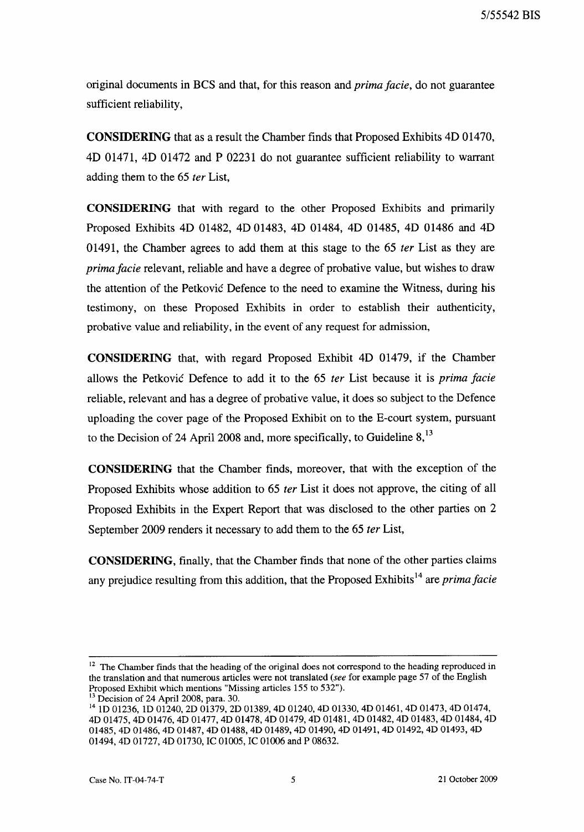original documents in BCS and that, for this reason and *prima jacie,* do not guarantee sufficient reliability,

**CONSIDERING** that as a result the Chamber finds that Proposed Exhibits 4D 01470, 4D 01471, 4D 01472 and P 02231 do not guarantee sufficient reliability to warrant adding them to the 65 *fer* List,

**CONSIDERING** that with regard to the other Proposed Exhibits and primarily Proposed Exhibits 4D 01482, 4D 01483, 4D 01484, 4D 01485, 4D 01486 and 4D 01491, the Chamber agrees to add them at this stage to the 65 *ter* List as they are *prima jacie* relevant, reliable and have a degree of probative value, but wishes to draw the attention of the Petkovic Defence to the need to examine the Witness, during his testimony, on these Proposed Exhibits in order to establish their authenticity, probative value and reliability, in the event of any request for admission,

**CONSIDERING** that, with regard Proposed Exhibit 4D 01479, if the Chamber allows the Petkovic Defence to add it to the 65 *ter* List because it is *prima jacie*  reliable, relevant and has a degree of probative value, it does so subject to the Defence uploading the cover page of the Proposed Exhibit on to the E-court system, pursuant to the Decision of 24 April 2008 and, more specifically, to Guideline  $8$ ,  $^{13}$ 

**CONSIDERING** that the Chamber finds, moreover, that with the exception of the Proposed Exhibits whose addition to 65 *ter* List it does not approve, the citing of all Proposed Exhibits in the Expert Report that was disclosed to the other parties on 2 September 2009 renders it necessary to add them to the 65 *ter* List,

**CONSIDERING,** finally, that the Chamber finds that none of the other parties claims any prejudice resulting from this addition, that the Proposed Exhibits 14 are *prima jacie* 

<sup>&</sup>lt;sup>12</sup> The Chamber finds that the heading of the original does not correspond to the heading reproduced in the translation and that numerous articles were not translated (see for example page 57 of the English Proposed Exhibit which mentions "Missing articles 155 to 532").

Decision of 24 April 2008, para. 30.

<sup>14</sup> ID 01236, ID 01240, 2D 01379, 2D 01389, 4D 01240, 4D 01330, 4D 01461, 4D 01473, 4D 01474, 4D 01475, 4D 01476, 4D 01477, 4D 01478, 4D 01479, 4D 01481, 4D 01482, 4D 01483, 4D 01484, 4D 01485, 4D 01486, 4D 01487, 4D 01488, 4D 01489, 4D 01490, 4D 01491, 4D 01492, 4D 01493, 4D 01494, 4D 01727, 4D 01730, IC 01005, IC 01006 and P 08632.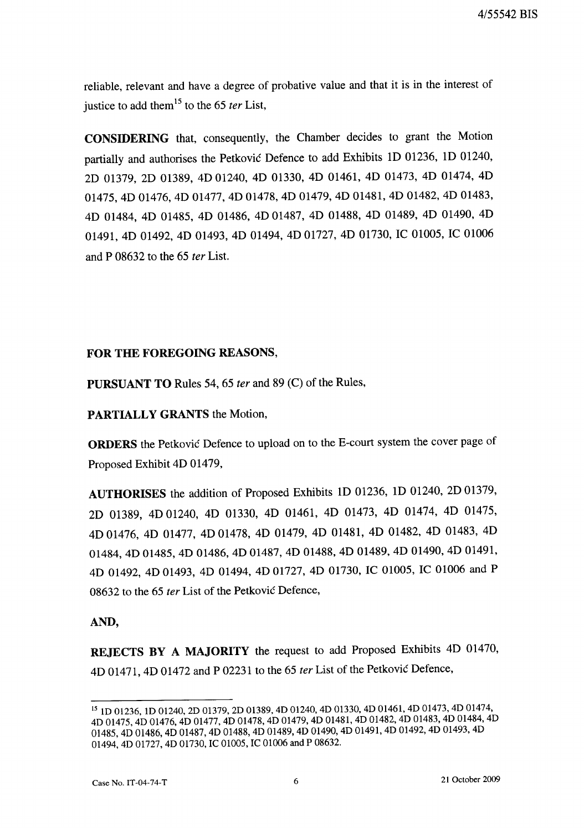4/55542 BIS

reliable, relevant and have a degree of probative value and that it is in the interest of justice to add them 15 to the 65 *ter* List,

CONSIDERING that, consequently, the Chamber decides to grant the Motion partially and authorises the Petkovic Defence to add Exhibits ID 01236, ID 01240, 2D 01379, 2D 01389, 4D 01240, 4D 01330, 4D 01461, 4D 01473, 4D 01474, 4D 01475, 4D 01476, 4D 01477, 4D 01478, 4D 01479, 4D 01481, 4D 01482, 4D 01483, 4D 01484, 4D 01485, 4D 01486, 4D 01487, 4D 01488, 4D 01489, 4D 01490, 4D 01491, 4D 01492, 4D 01493, 4D 01494, 4D 01727, 4D 01730, IC 01005, IC 01006 and P 08632 to the 65 *ter* List.

#### FOR THE FOREGOING REASONS,

PURSUANT TO Rules 54, 65 *ter* and 89 (C) of the Rules,

## PARTIALLY GRANTS the Motion,

ORDERS the Petkovic Defence to upload on to the E-court system the cover page of Proposed Exhibit 4D 01479,

AUTHORISES the addition of Proposed Exhibits ID 01236, ID 01240, 2D 01379, 2D 01389, 4D 01240, 4D 01330, 4D 01461, 4D 01473, 4D 01474, 4D 01475, 4D 01476, 4D 01477, 4D 01478, 4D 01479, 4D 01481, 4D 01482, 4D 01483, 4D 01484, 4D 01485, 4D 01486, 4D 01487, 4D 01488, 4D 01489, 4D 01490, 4D 01491, 4D 01492, 4D 01493, 4D 01494, 4D 01727, 4D 01730, IC 01005, IC 01006 and P 08632 to the 65 *ter* List of the Petkovic Defence,

## AND,

REJECTS BY A MAJORITY the request to add Proposed Exhibits 4D 01470, 4D 01471, 4D 01472 and P 02231 to the 65 *ter* List of the Petkovic Defence,

<sup>15</sup> ID 01236, ID 01240, 2D 01379, 2D 01389, 4D 01240, 4D 01330, 4D 01461, 4D 01473, 4D 01474, 4D 01475, 4D 01476, 4D 01477, 4D 01478, 4D 01479, 4D 01481, 4D 01482, 4D 01483, 4D 01484, 4D 01485, 4D 01486, 4D 01487, 4D 01488, 4D 01489, 4D 01490, 4D 01491, 4D 01492, 4D 01493, 4D 01494, 4D 01727, 4D 01730, IC 01005, IC 01006 and P 08632.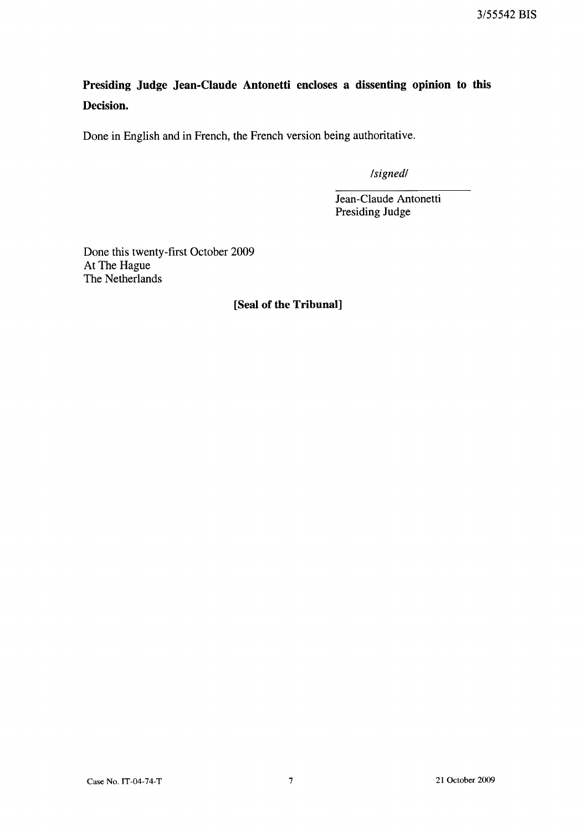3/55542 BIS

**Presiding Judge Jean-Claude Antonetti encloses a dissenting opinion to this Decision.** 

Done in English and in French, the French version being authoritative.

*/signed/* 

Jean-Claude Antonetti Presiding Judge

Done this twenty-first October 2009 At The Hague The Netherlands

## **[Seal of the Tribunal]**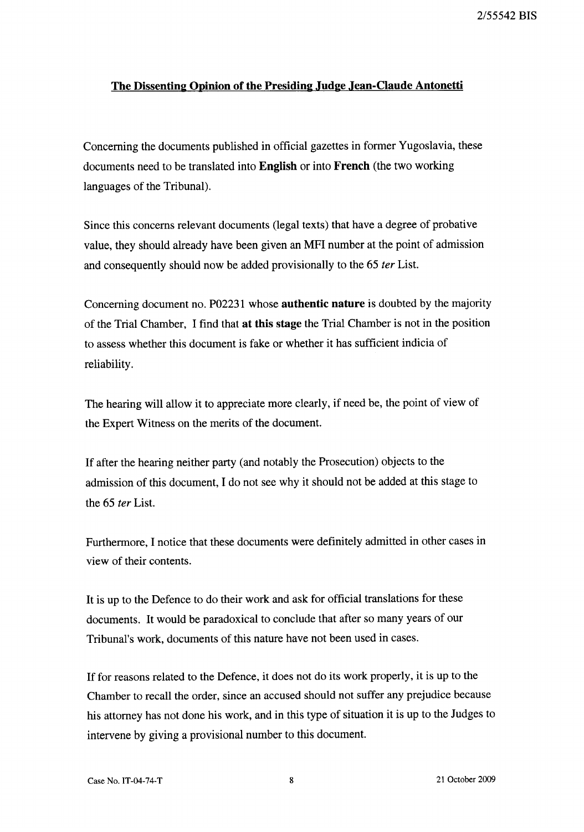## **The Dissenting Opinion of the Presiding Judge Jean-Claude Antonetti**

Concerning the documents published in official gazettes in fonner Yugoslavia, these documents need to be translated into **English** or into **French** (the two working languages of the Tribunal).

Since this concerns relevant documents (legal texts) that have a degree of probative value, they should already have been given an MFI number at the point of admission and consequently should now be added provisionally to the 65 *ter* List.

Concerning document no. P02231 whose **authentic nature** is doubted by the majority of the Trial Chamber, I find that **at this** stage the Trial Chamber is not in the position to assess whether this document is fake or whether it has sufficient indicia of reliability.

The hearing will allow it to appreciate more clearly, if need be, the point of view of the Expert Witness on the merits of the document.

If after the hearing neither party (and notably the Prosecution) objects to the admission of this document, I do not see why it should not be added at this stage to the 65 *ter* List.

Furthennore, I notice that these documents were definitely admitted in other cases in view of their contents.

It is up to the Defence to do their work and ask for official translations for these documents. It would be paradoxical to conclude that after so many years of our Tribunal's work, documents of this nature have not been used in cases.

If for reasons related to the Defence, it does not do its work properly, it is up to the Chamber to recall the order, since an accused should not suffer any prejudice because his attorney has not done his work, and in this type of situation it is up to the Judges to intervene by giving a provisional number to this document.